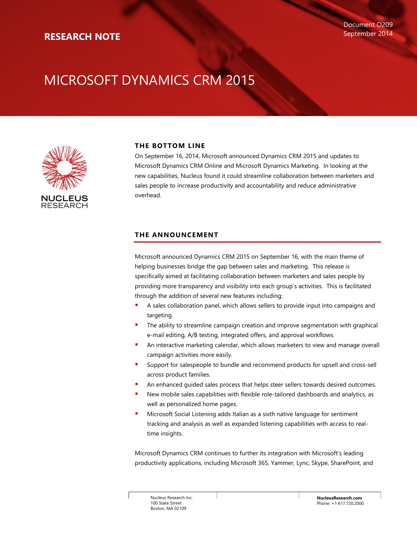# **RESEARCH NOTE**

# MICROSOFT DYNAMICS CRM 2015



# **THE BOTTOM LINE**

On September 16, 2014, Microsoft announced Dynamics CRM 2015 and updates to Microsoft Dynamics CRM Online and Microsoft Dynamics Marketing. In looking at the new capabilities, Nucleus found it could streamline collaboration between marketers and sales people to increase productivity and accountability and reduce administrative overhead.

# **THE ANNOUNCEMENT**

Microsoft announced Dynamics CRM 2015 on September 16, with the main theme of helping businesses bridge the gap between sales and marketing. This release is specifically aimed at facilitating collaboration between marketers and sales people by providing more transparency and visibility into each group's activities. This is facilitated through the addition of several new features including:

- A sales collaboration panel, which allows sellers to provide input into campaigns and targeting.
- The ability to streamline campaign creation and improve segmentation with graphical e-mail editing, A/B testing, integrated offers, and approval workflows.
- An interactive marketing calendar, which allows marketers to view and manage overall campaign activities more easily.
- Support for salespeople to bundle and recommend products for upsell and cross-sell across product families.
- An enhanced guided sales process that helps steer sellers towards desired outcomes.
- New mobile sales capabilities with flexible role-tailored dashboards and analytics, as well as personalized home pages.
- Microsoft Social Listening adds Italian as a sixth native language for sentiment tracking and analysis as well as expanded listening capabilities with access to realtime insights.

Microsoft Dynamics CRM continues to further its integration with Microsoft's leading productivity applications, including Microsoft 365, Yammer, Lync, Skype, SharePoint, and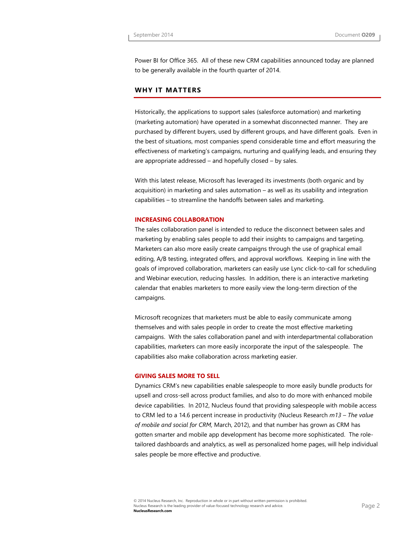Power BI for Office 365. All of these new CRM capabilities announced today are planned to be generally available in the fourth quarter of 2014.

#### **WHY IT MATTERS**

Historically, the applications to support sales (salesforce automation) and marketing (marketing automation) have operated in a somewhat disconnected manner. They are purchased by different buyers, used by different groups, and have different goals. Even in the best of situations, most companies spend considerable time and effort measuring the effectiveness of marketing's campaigns, nurturing and qualifying leads, and ensuring they are appropriate addressed – and hopefully closed – by sales.

With this latest release, Microsoft has leveraged its investments (both organic and by acquisition) in marketing and sales automation – as well as its usability and integration capabilities – to streamline the handoffs between sales and marketing.

#### **INCREASING COLLABORATION**

The sales collaboration panel is intended to reduce the disconnect between sales and marketing by enabling sales people to add their insights to campaigns and targeting. Marketers can also more easily create campaigns through the use of graphical email editing, A/B testing, integrated offers, and approval workflows. Keeping in line with the goals of improved collaboration, marketers can easily use Lync click-to-call for scheduling and Webinar execution, reducing hassles. In addition, there is an interactive marketing calendar that enables marketers to more easily view the long-term direction of the campaigns.

Microsoft recognizes that marketers must be able to easily communicate among themselves and with sales people in order to create the most effective marketing campaigns. With the sales collaboration panel and with interdepartmental collaboration capabilities, marketers can more easily incorporate the input of the salespeople. The capabilities also make collaboration across marketing easier.

#### **GIVING SALES MORE TO SELL**

Dynamics CRM's new capabilities enable salespeople to more easily bundle products for upsell and cross-sell across product families, and also to do more with enhanced mobile device capabilities. In 2012, Nucleus found that providing salespeople with mobile access to CRM led to a 14.6 percent increase in productivity (Nucleus Research *m13 – The value of mobile and social for CRM,* March, 2012), and that number has grown as CRM has gotten smarter and mobile app development has become more sophisticated. The roletailored dashboards and analytics, as well as personalized home pages, will help individual sales people be more effective and productive.